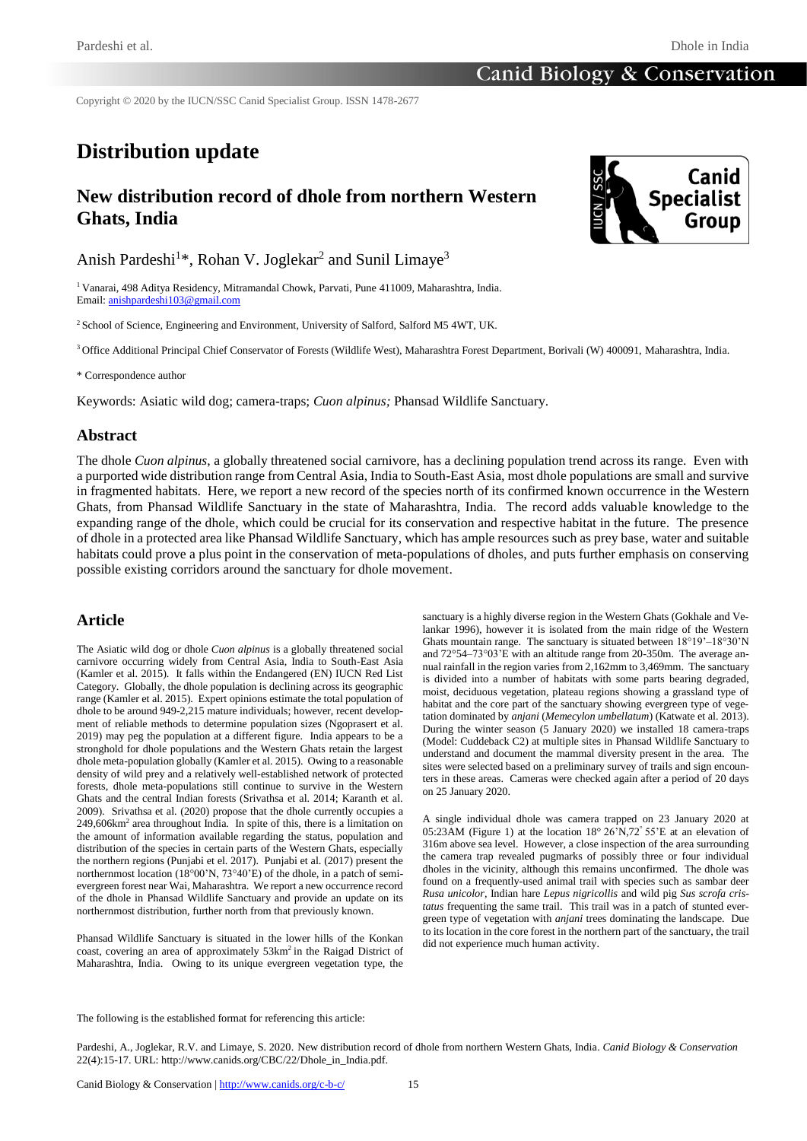## **Canid Biology & Conservation**

Copyright © 2020 by the IUCN/SSC Canid Specialist Group. ISSN 1478-2677

# **Distribution update**

# **New distribution record of dhole from northern Western Ghats, India**



Anish Pardeshi<sup>1\*</sup>, Rohan V. Joglekar<sup>2</sup> and Sunil Limaye<sup>3</sup>

<sup>1</sup> Vanarai, 498 Aditya Residency, Mitramandal Chowk, Parvati, Pune 411009, Maharashtra, India. Email[: anishpardeshi103@gmail.com](mailto:anishpardeshi103@gmail.com)

<sup>2</sup> School of Science, Engineering and Environment, University of Salford, Salford M5 4WT, UK.

<sup>3</sup> Office Additional Principal Chief Conservator of Forests (Wildlife West), Maharashtra Forest Department, Borivali (W) 400091, Maharashtra, India.

\* Correspondence author

Keywords: Asiatic wild dog; camera-traps; *Cuon alpinus;* Phansad Wildlife Sanctuary.

### **Abstract**

The dhole *Cuon alpinus*, a globally threatened social carnivore, has a declining population trend across its range. Even with a purported wide distribution range from Central Asia, India to South-East Asia, most dhole populations are small and survive in fragmented habitats. Here, we report a new record of the species north of its confirmed known occurrence in the Western Ghats, from Phansad Wildlife Sanctuary in the state of Maharashtra, India. The record adds valuable knowledge to the expanding range of the dhole, which could be crucial for its conservation and respective habitat in the future. The presence of dhole in a protected area like Phansad Wildlife Sanctuary, which has ample resources such as prey base, water and suitable habitats could prove a plus point in the conservation of meta-populations of dholes, and puts further emphasis on conserving possible existing corridors around the sanctuary for dhole movement.

#### **Article**

The Asiatic wild dog or dhole *Cuon alpinus* is a globally threatened social carnivore occurring widely from Central Asia, India to South-East Asia (Kamler et al. 2015). It falls within the Endangered (EN) IUCN Red List Category. Globally, the dhole population is declining across its geographic range (Kamler et al. 2015). Expert opinions estimate the total population of dhole to be around 949-2,215 mature individuals; however, recent development of reliable methods to determine population sizes (Ngoprasert et al. 2019) may peg the population at a different figure. India appears to be a stronghold for dhole populations and the Western Ghats retain the largest dhole meta-population globally (Kamler et al. 2015). Owing to a reasonable density of wild prey and a relatively well-established network of protected forests, dhole meta-populations still continue to survive in the Western Ghats and the central Indian forests (Srivathsa et al. 2014; Karanth et al. 2009). Srivathsa et al. (2020) propose that the dhole currently occupies a 249,606km<sup>2</sup> area throughout India. In spite of this, there is a limitation on the amount of information available regarding the status, population and distribution of the species in certain parts of the Western Ghats, especially the northern regions (Punjabi et el. 2017). Punjabi et al. (2017) present the northernmost location (18°00'N, 73°40'E) of the dhole, in a patch of semievergreen forest near Wai, Maharashtra. We report a new occurrence record of the dhole in Phansad Wildlife Sanctuary and provide an update on its northernmost distribution, further north from that previously known.

Phansad Wildlife Sanctuary is situated in the lower hills of the Konkan coast, covering an area of approximately 53km<sup>2</sup> in the Raigad District of Maharashtra, India. Owing to its unique evergreen vegetation type, the

sanctuary is a highly diverse region in the Western Ghats (Gokhale and Velankar 1996), however it is isolated from the main ridge of the Western Ghats mountain range. The sanctuary is situated between 18°19'–18°30'N and 72°54–73°03'E with an altitude range from 20-350m. The average annual rainfall in the region varies from 2,162mm to 3,469mm. The sanctuary is divided into a number of habitats with some parts bearing degraded, moist, deciduous vegetation, plateau regions showing a grassland type of habitat and the core part of the sanctuary showing evergreen type of vegetation dominated by *anjani* (*Memecylon umbellatum*) (Katwate et al. 2013). During the winter season (5 January 2020) we installed 18 camera-traps (Model: Cuddeback C2) at multiple sites in Phansad Wildlife Sanctuary to understand and document the mammal diversity present in the area. The sites were selected based on a preliminary survey of trails and sign encounters in these areas. Cameras were checked again after a period of 20 days on 25 January 2020.

A single individual dhole was camera trapped on 23 January 2020 at 05:23AM (Figure 1) at the location 18° 26'N,72° 55'E at an elevation of 316m above sea level. However, a close inspection of the area surrounding the camera trap revealed pugmarks of possibly three or four individual dholes in the vicinity, although this remains unconfirmed. The dhole was found on a frequently-used animal trail with species such as sambar deer *Rusa unicolor*, Indian hare *Lepus nigricollis* and wild pig *Sus scrofa cristatus* frequenting the same trail. This trail was in a patch of stunted evergreen type of vegetation with *anjani* trees dominating the landscape. Due to its location in the core forest in the northern part of the sanctuary, the trail did not experience much human activity.

The following is the established format for referencing this article:

Pardeshi, A., Joglekar, R.V. and Limaye, S. 2020. New distribution record of dhole from northern Western Ghats, India. *Canid Biology & Conservation* 22(4):15-17. URL: http://www.canids.org/CBC/22/Dhole\_in\_India.pdf.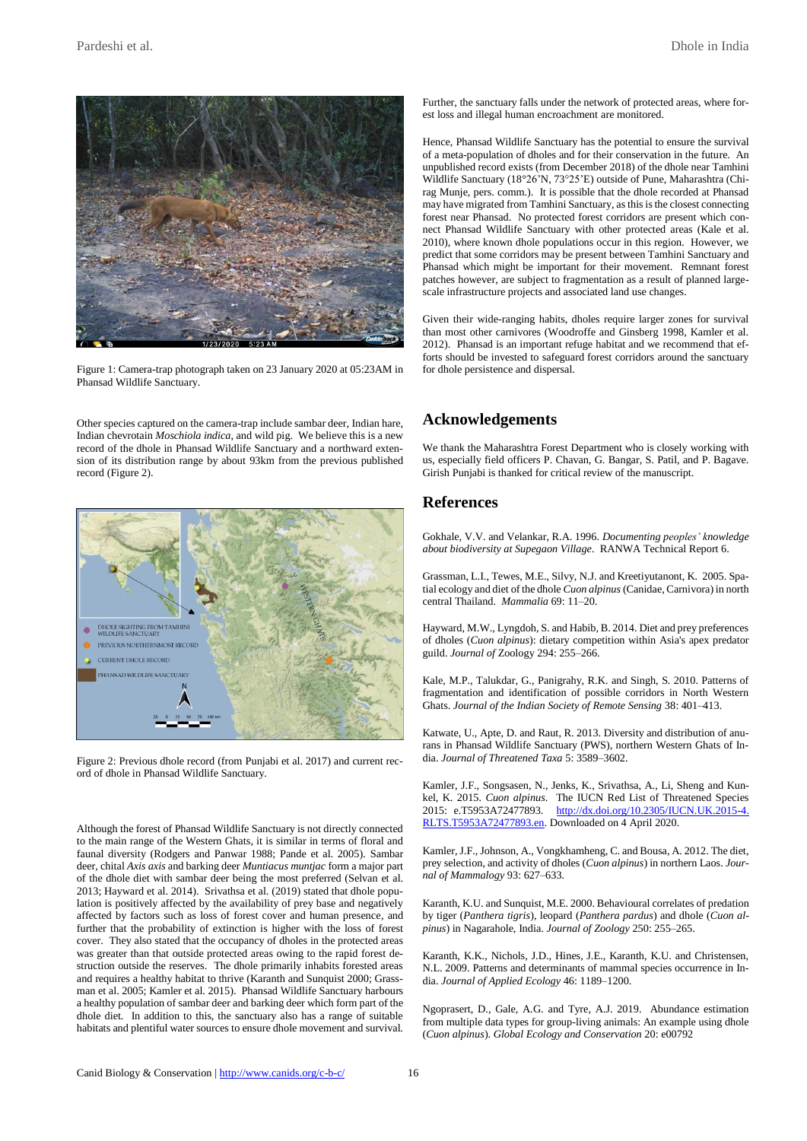

Figure 1: Camera-trap photograph taken on 23 January 2020 at 05:23AM in Phansad Wildlife Sanctuary.

Other species captured on the camera-trap include sambar deer, Indian hare*,* Indian chevrotain *Moschiola indica*, and wild pig. We believe this is a new record of the dhole in Phansad Wildlife Sanctuary and a northward extension of its distribution range by about 93km from the previous published record (Figure 2).



Figure 2: Previous dhole record (from Punjabi et al. 2017) and current record of dhole in Phansad Wildlife Sanctuary.

Although the forest of Phansad Wildlife Sanctuary is not directly connected to the main range of the Western Ghats, it is similar in terms of floral and faunal diversity (Rodgers and Panwar 1988; Pande et al. 2005). Sambar deer, chital *Axis axis* and barking deer *Muntiacus muntjac* form a major part of the dhole diet with sambar deer being the most preferred (Selvan et al. 2013; Hayward et al. 2014). Srivathsa et al. (2019) stated that dhole population is positively affected by the availability of prey base and negatively affected by factors such as loss of forest cover and human presence, and further that the probability of extinction is higher with the loss of forest cover. They also stated that the occupancy of dholes in the protected areas was greater than that outside protected areas owing to the rapid forest destruction outside the reserves. The dhole primarily inhabits forested areas and requires a healthy habitat to thrive (Karanth and Sunquist 2000; Grassman et al. 2005; Kamler et al. 2015). Phansad Wildlife Sanctuary harbours a healthy population of sambar deer and barking deer which form part of the dhole diet. In addition to this, the sanctuary also has a range of suitable habitats and plentiful water sources to ensure dhole movement and survival. Further, the sanctuary falls under the network of protected areas, where forest loss and illegal human encroachment are monitored.

Hence, Phansad Wildlife Sanctuary has the potential to ensure the survival of a meta-population of dholes and for their conservation in the future. An unpublished record exists (from December 2018) of the dhole near Tamhini Wildlife Sanctuary (18°26'N, 73°25'E) outside of Pune, Maharashtra (Chirag Munje, pers. comm.). It is possible that the dhole recorded at Phansad may have migrated from Tamhini Sanctuary, as this is the closest connecting forest near Phansad. No protected forest corridors are present which connect Phansad Wildlife Sanctuary with other protected areas (Kale et al. 2010), where known dhole populations occur in this region. However, we predict that some corridors may be present between Tamhini Sanctuary and Phansad which might be important for their movement. Remnant forest patches however, are subject to fragmentation as a result of planned largescale infrastructure projects and associated land use changes.

Given their wide-ranging habits, dholes require larger zones for survival than most other carnivores (Woodroffe and Ginsberg 1998, Kamler et al. 2012). Phansad is an important refuge habitat and we recommend that efforts should be invested to safeguard forest corridors around the sanctuary for dhole persistence and dispersal.

#### **Acknowledgements**

We thank the Maharashtra Forest Department who is closely working with us, especially field officers P. Chavan, G. Bangar, S. Patil, and P. Bagave. Girish Punjabi is thanked for critical review of the manuscript.

#### **References**

Gokhale, V.V. and Velankar, R.A. 1996. *Documenting peoples' knowledge about biodiversity at Supegaon Village*. RANWA Technical Report 6.

Grassman, L.I., Tewes, M.E., Silvy, N.J. and Kreetiyutanont, K. 2005. Spatial ecology and diet of the dhole *Cuon alpinus*(Canidae, Carnivora) in north central Thailand. *Mammalia* 69: 11–20.

Hayward, M.W., Lyngdoh, S. and Habib, B. 2014. Diet and prey preferences of dholes (*Cuon alpinus*): dietary competition within Asia's apex predator guild. *Journal of* Zoology 294: 255–266.

Kale, M.P., Talukdar, G., Panigrahy, R.K. and Singh, S. 2010. Patterns of fragmentation and identification of possible corridors in North Western Ghats. *Journal of the Indian Society of Remote Sensing* 38: 401–413.

Katwate, U., Apte, D. and Raut, R. 2013. Diversity and distribution of anurans in Phansad Wildlife Sanctuary (PWS), northern Western Ghats of India. *Journal of Threatened Taxa* 5: 3589–3602.

Kamler, J.F., Songsasen, N., Jenks, K., Srivathsa, A., Li, Sheng and Kunkel, K. 2015. *Cuon alpinus*. The IUCN Red List of Threatened Species 2015: e.T5953A72477893. [http://dx.doi.org/10.2305/IUCN.UK.2015-4.](https://www.iucnredlist.org/species/5953/72477893) [RLTS.T5953A72477893.en.](https://www.iucnredlist.org/species/5953/72477893) Downloaded on 4 April 2020.

Kamler, J.F., Johnson, A., Vongkhamheng, C. and Bousa, A. 2012. The diet, prey selection, and activity of dholes (*Cuon alpinus*) in northern Laos. *Journal of Mammalogy* 93: 627–633.

Karanth, K.U. and Sunquist, M.E. 2000. Behavioural correlates of predation by tiger (*Panthera tigris*), leopard (*Panthera pardus*) and dhole (*Cuon alpinus*) in Nagarahole, India. *Journal of Zoology* 250: 255–265.

Karanth, K.K., Nichols, J.D., Hines, J.E., Karanth, K.U. and Christensen, N.L. 2009. Patterns and determinants of mammal species occurrence in India. *Journal of Applied Ecology* 46: 1189–1200.

Ngoprasert, D., Gale, A.G. and Tyre, A.J. 2019. Abundance estimation from multiple data types for group-living animals: An example using dhole (*Cuon alpinus*). *Global Ecology and Conservation* 20: e00792